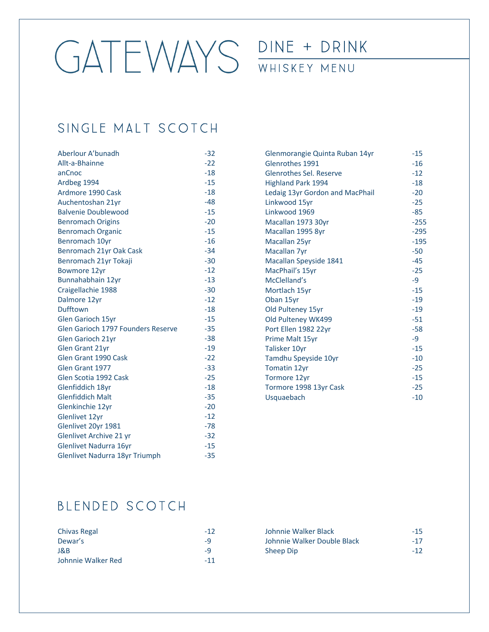DINE + DRINK

#### WHISKEY MENU

## SINGLE MALT SCOTCH

| Aberlour A'bunadh                  | $-32$ |
|------------------------------------|-------|
| Allt-a-Bhainne                     | $-22$ |
| anCnoc                             | $-18$ |
| Ardbeg 1994                        | $-15$ |
| Ardmore 1990 Cask                  | $-18$ |
| Auchentoshan 21yr                  | $-48$ |
| <b>Balvenie Doublewood</b>         | $-15$ |
| <b>Benromach Origins</b>           | $-20$ |
| <b>Benromach Organic</b>           | $-15$ |
| Benromach 10yr                     | $-16$ |
| Benromach 21yr Oak Cask            | $-34$ |
| Benromach 21yr Tokaji              | $-30$ |
| <b>Bowmore 12yr</b>                | $-12$ |
| Bunnahabhain 12yr                  | $-13$ |
| Craigellachie 1988                 | $-30$ |
| Dalmore 12yr                       | $-12$ |
| Dufftown                           | $-18$ |
| <b>Glen Garioch 15yr</b>           | $-15$ |
| Glen Garioch 1797 Founders Reserve | $-35$ |
| Glen Garioch 21yr                  | $-38$ |
| <b>Glen Grant 21yr</b>             | $-19$ |
| Glen Grant 1990 Cask               | $-22$ |
| Glen Grant 1977                    | $-33$ |
| Glen Scotia 1992 Cask              | $-25$ |
| Glenfiddich 18yr                   | $-18$ |
| <b>Glenfiddich Malt</b>            | $-35$ |
| Glenkinchie 12yr                   | $-20$ |
| Glenlivet 12yr                     | $-12$ |
| Glenlivet 20yr 1981                | -78   |
| Glenlivet Archive 21 yr            | $-32$ |
| Glenlivet Nadurra 16yr             | $-15$ |
| Glenlivet Nadurra 18yr Triumph     | $-35$ |
|                                    |       |

| Glenmorangie Quinta Ruban 14yr  | $-15$  |
|---------------------------------|--------|
| Glenrothes 1991                 | $-16$  |
| Glenrothes Sel. Reserve         | $-12$  |
| <b>Highland Park 1994</b>       | $-18$  |
| Ledaig 13yr Gordon and MacPhail | $-20$  |
| Linkwood 15yr                   | $-25$  |
| Linkwood 1969                   | -85    |
| Macallan 1973 30yr              | $-255$ |
| Macallan 1995 8yr               | $-295$ |
| Macallan 25yr                   | $-195$ |
| Macallan 7yr                    | $-50$  |
| Macallan Speyside 1841          | $-45$  |
| MacPhail's 15yr                 | $-25$  |
| McClelland's                    | -9     |
| Mortlach 15yr                   | $-15$  |
| Oban 15yr                       | $-19$  |
| Old Pulteney 15yr               | $-19$  |
| Old Pulteney WK499              | $-51$  |
| Port Ellen 1982 22yr            | $-58$  |
| Prime Malt 15yr                 | -9     |
| Talisker 10yr                   | $-15$  |
| Tamdhu Speyside 10yr            | $-10$  |
| Tomatin 12yr                    | $-25$  |
| Tormore 12yr                    | $-15$  |
| Tormore 1998 13yr Cask          | $-25$  |
| Usquaebach                      | $-10$  |
|                                 |        |

# BLENDED SCOTCH

| Chivas Regal       | $-12$ |
|--------------------|-------|
| Dewar's            | -9    |
| J&B                | -9    |
| Johnnie Walker Red | $-11$ |

| Johnnie Walker Black        | $-15$ |
|-----------------------------|-------|
| Johnnie Walker Double Black | $-17$ |
| Sheep Dip                   | $-12$ |